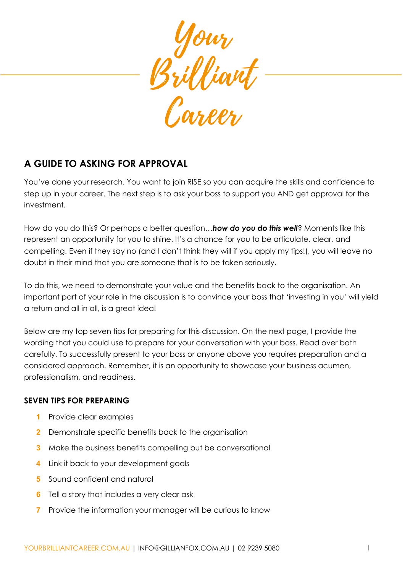

# **A GUIDE TO ASKING FOR APPROVAL**

You've done your research. You want to join RISE so you can acquire the skills and confidence to step up in your career. The next step is to ask your boss to support you AND get approval for the investment.

How do you do this? Or perhaps a better question…*how do you do this well*? Moments like this represent an opportunity for you to shine. It's a chance for you to be articulate, clear, and compelling. Even if they say no (and I don't think they will if you apply my tips!), you will leave no doubt in their mind that you are someone that is to be taken seriously.

To do this, we need to demonstrate your value and the benefits back to the organisation. An important part of your role in the discussion is to convince your boss that 'investing in you' will yield a return and all in all, is a great idea!

Below are my top seven tips for preparing for this discussion. On the next page, I provide the wording that you could use to prepare for your conversation with your boss. Read over both carefully. To successfully present to your boss or anyone above you requires preparation and a considered approach. Remember, it is an opportunity to showcase your business acumen, professionalism, and readiness.

#### **SEVEN TIPS FOR PREPARING**

- **1** Provide clear examples
- **2** Demonstrate specific benefits back to the organisation
- **3** Make the business benefits compelling but be conversational
- **4** Link it back to your development goals
- **5** Sound confident and natural
- **6** Tell a story that includes a very clear ask
- **7** Provide the information your manager will be curious to know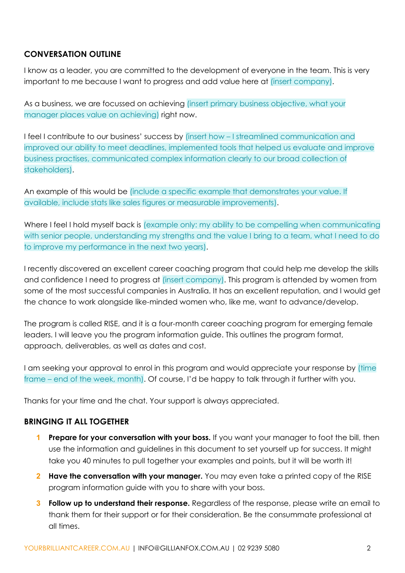### **CONVERSATION OUTLINE**

I know as a leader, you are committed to the development of everyone in the team. This is very important to me because I want to progress and add value here at *(insert company)*.

As a business, we are focussed on achieving (insert primary business objective, what your manager places value on achieving) right now.

I feel I contribute to our business' success by (insert how – I streamlined communication and improved our ability to meet deadlines, implemented tools that helped us evaluate and improve business practises, communicated complex information clearly to our broad collection of stakeholders).

An example of this would be (include a specific example that demonstrates your value. If available, include stats like sales figures or measurable improvements).

Where I feel I hold myself back is (example only: my ability to be compelling when communicating with senior people, understanding my strengths and the value I bring to a team, what I need to do to improve my performance in the next two years).

I recently discovered an excellent career coaching program that could help me develop the skills and confidence I need to progress at (insert company). This program is attended by women from some of the most successful companies in Australia. It has an excellent reputation, and I would get the chance to work alongside like-minded women who, like me, want to advance/develop.

The program is called RISE, and it is a four-month career coaching program for emerging female leaders. I will leave you the program information guide. This outlines the program format, approach, deliverables, as well as dates and cost.

I am seeking your approval to enrol in this program and would appreciate your response by (time frame – end of the week, month). Of course, I'd be happy to talk through it further with you.

Thanks for your time and the chat. Your support is always appreciated.

#### **BRINGING IT ALL TOGETHER**

- **1 Prepare for your conversation with your boss.** If you want your manager to foot the bill, then use the information and guidelines in this document to set yourself up for success. It might take you 40 minutes to pull together your examples and points, but it will be worth it!
- **2 Have the conversation with your manager.** You may even take a printed copy of the RISE program information guide with you to share with your boss.
- **3 Follow up to understand their response.** Regardless of the response, please write an email to thank them for their support or for their consideration. Be the consummate professional at all times.